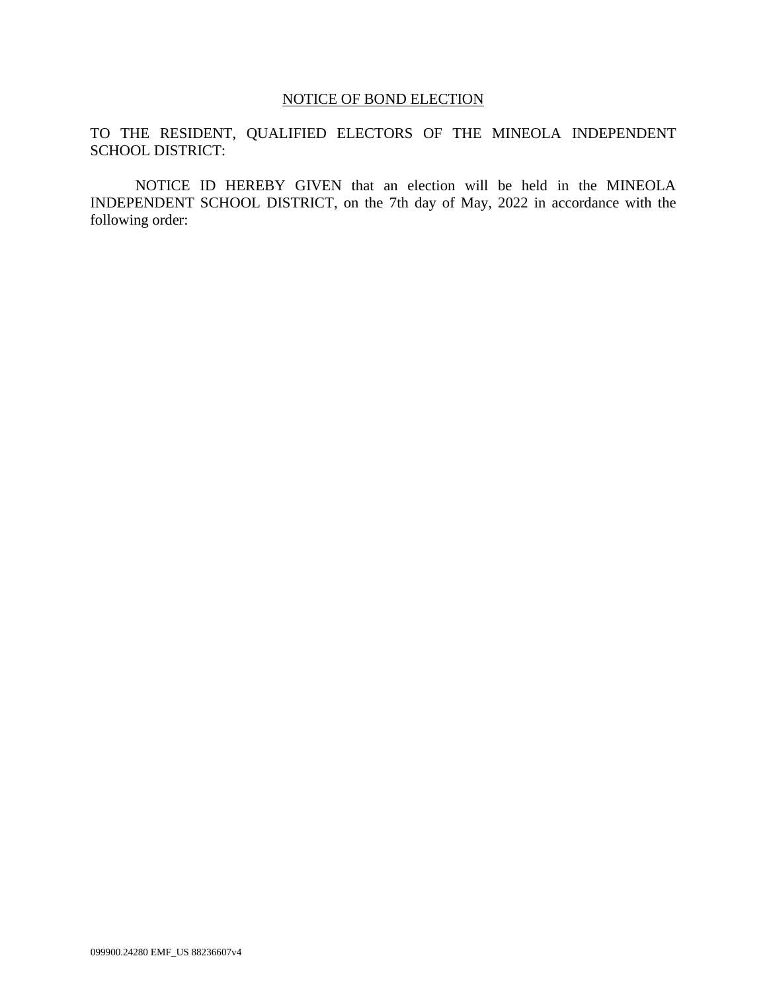## NOTICE OF BOND ELECTION

TO THE RESIDENT, QUALIFIED ELECTORS OF THE MINEOLA INDEPENDENT SCHOOL DISTRICT:

NOTICE ID HEREBY GIVEN that an election will be held in the MINEOLA INDEPENDENT SCHOOL DISTRICT, on the 7th day of May, 2022 in accordance with the following order: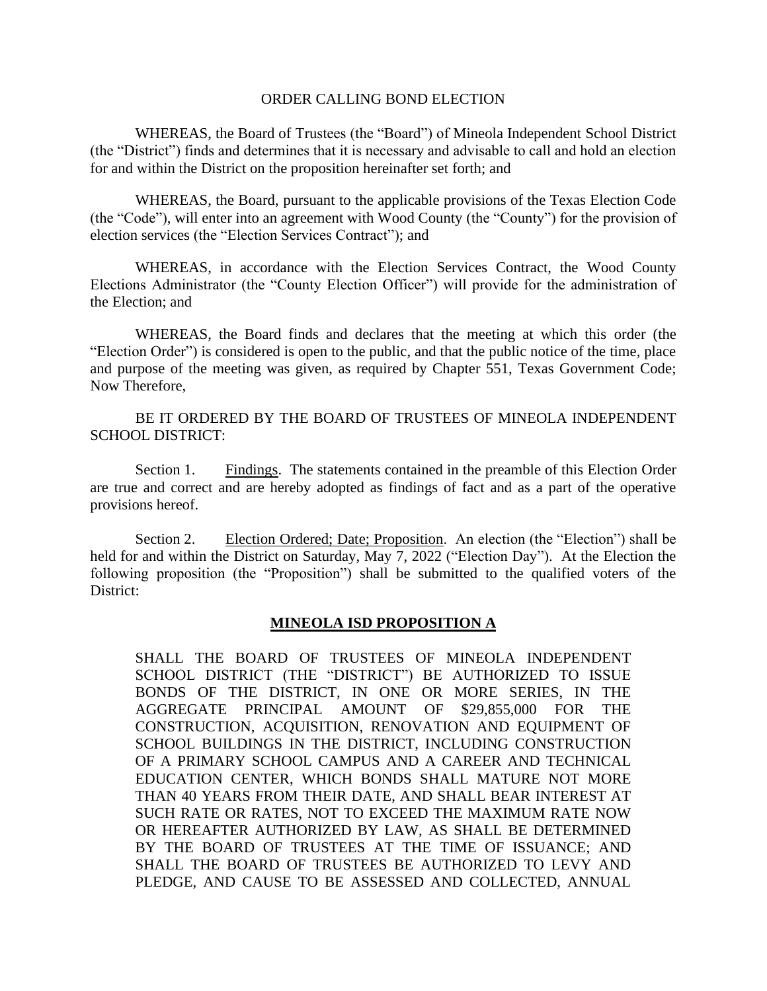#### ORDER CALLING BOND ELECTION

WHEREAS, the Board of Trustees (the "Board") of Mineola Independent School District (the "District") finds and determines that it is necessary and advisable to call and hold an election for and within the District on the proposition hereinafter set forth; and

WHEREAS, the Board, pursuant to the applicable provisions of the Texas Election Code (the "Code"), will enter into an agreement with Wood County (the "County") for the provision of election services (the "Election Services Contract"); and

WHEREAS, in accordance with the Election Services Contract, the Wood County Elections Administrator (the "County Election Officer") will provide for the administration of the Election; and

WHEREAS, the Board finds and declares that the meeting at which this order (the "Election Order") is considered is open to the public, and that the public notice of the time, place and purpose of the meeting was given, as required by Chapter 551, Texas Government Code; Now Therefore,

BE IT ORDERED BY THE BOARD OF TRUSTEES OF MINEOLA INDEPENDENT SCHOOL DISTRICT:

Section 1. Findings. The statements contained in the preamble of this Election Order are true and correct and are hereby adopted as findings of fact and as a part of the operative provisions hereof.

Section 2. Election Ordered; Date; Proposition. An election (the "Election") shall be held for and within the District on Saturday, May 7, 2022 ("Election Day"). At the Election the following proposition (the "Proposition") shall be submitted to the qualified voters of the District:

### **MINEOLA ISD PROPOSITION A**

SHALL THE BOARD OF TRUSTEES OF MINEOLA INDEPENDENT SCHOOL DISTRICT (THE "DISTRICT") BE AUTHORIZED TO ISSUE BONDS OF THE DISTRICT, IN ONE OR MORE SERIES, IN THE AGGREGATE PRINCIPAL AMOUNT OF \$29,855,000 FOR THE CONSTRUCTION, ACQUISITION, RENOVATION AND EQUIPMENT OF SCHOOL BUILDINGS IN THE DISTRICT, INCLUDING CONSTRUCTION OF A PRIMARY SCHOOL CAMPUS AND A CAREER AND TECHNICAL EDUCATION CENTER, WHICH BONDS SHALL MATURE NOT MORE THAN 40 YEARS FROM THEIR DATE, AND SHALL BEAR INTEREST AT SUCH RATE OR RATES, NOT TO EXCEED THE MAXIMUM RATE NOW OR HEREAFTER AUTHORIZED BY LAW, AS SHALL BE DETERMINED BY THE BOARD OF TRUSTEES AT THE TIME OF ISSUANCE; AND SHALL THE BOARD OF TRUSTEES BE AUTHORIZED TO LEVY AND PLEDGE, AND CAUSE TO BE ASSESSED AND COLLECTED, ANNUAL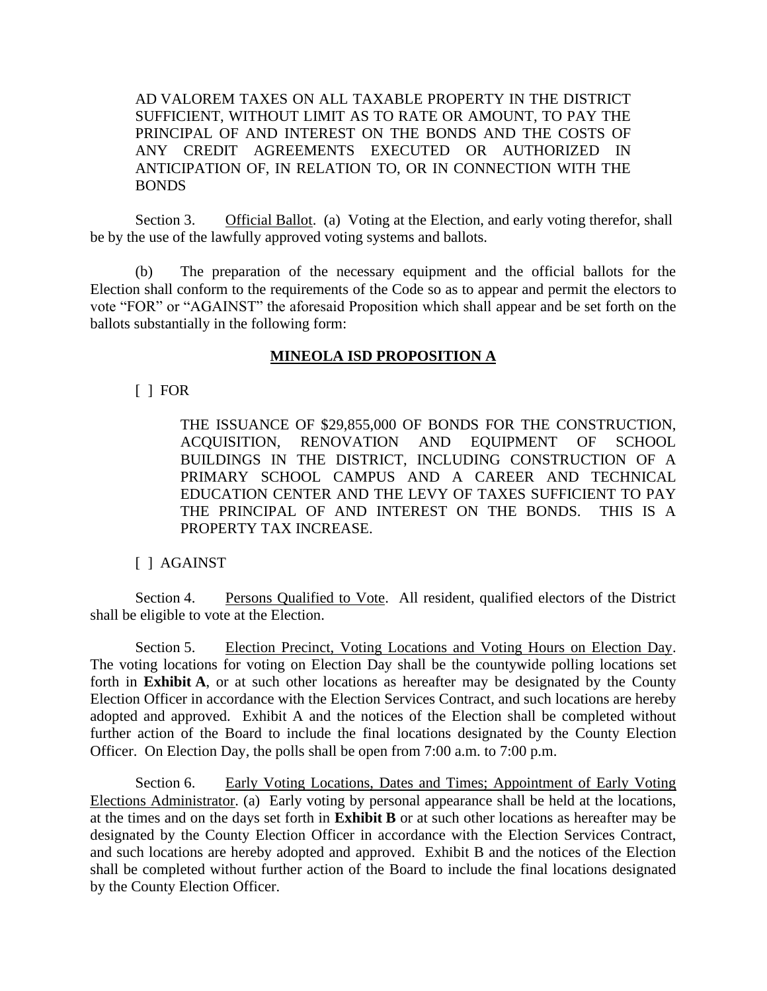AD VALOREM TAXES ON ALL TAXABLE PROPERTY IN THE DISTRICT SUFFICIENT, WITHOUT LIMIT AS TO RATE OR AMOUNT, TO PAY THE PRINCIPAL OF AND INTEREST ON THE BONDS AND THE COSTS OF ANY CREDIT AGREEMENTS EXECUTED OR AUTHORIZED IN ANTICIPATION OF, IN RELATION TO, OR IN CONNECTION WITH THE BONDS

Section 3. Official Ballot. (a) Voting at the Election, and early voting therefor, shall be by the use of the lawfully approved voting systems and ballots.

(b) The preparation of the necessary equipment and the official ballots for the Election shall conform to the requirements of the Code so as to appear and permit the electors to vote "FOR" or "AGAINST" the aforesaid Proposition which shall appear and be set forth on the ballots substantially in the following form:

## **MINEOLA ISD PROPOSITION A**

## [ ] FOR

THE ISSUANCE OF \$29,855,000 OF BONDS FOR THE CONSTRUCTION, ACQUISITION, RENOVATION AND EQUIPMENT OF SCHOOL BUILDINGS IN THE DISTRICT, INCLUDING CONSTRUCTION OF A PRIMARY SCHOOL CAMPUS AND A CAREER AND TECHNICAL EDUCATION CENTER AND THE LEVY OF TAXES SUFFICIENT TO PAY THE PRINCIPAL OF AND INTEREST ON THE BONDS. THIS IS A PROPERTY TAX INCREASE.

## [ ] AGAINST

Section 4. Persons Qualified to Vote. All resident, qualified electors of the District shall be eligible to vote at the Election.

Section 5. Election Precinct, Voting Locations and Voting Hours on Election Day. The voting locations for voting on Election Day shall be the countywide polling locations set forth in **Exhibit A**, or at such other locations as hereafter may be designated by the County Election Officer in accordance with the Election Services Contract, and such locations are hereby adopted and approved. Exhibit A and the notices of the Election shall be completed without further action of the Board to include the final locations designated by the County Election Officer. On Election Day, the polls shall be open from 7:00 a.m. to 7:00 p.m.

Section 6. Early Voting Locations, Dates and Times; Appointment of Early Voting Elections Administrator. (a) Early voting by personal appearance shall be held at the locations, at the times and on the days set forth in **Exhibit B** or at such other locations as hereafter may be designated by the County Election Officer in accordance with the Election Services Contract, and such locations are hereby adopted and approved. Exhibit B and the notices of the Election shall be completed without further action of the Board to include the final locations designated by the County Election Officer.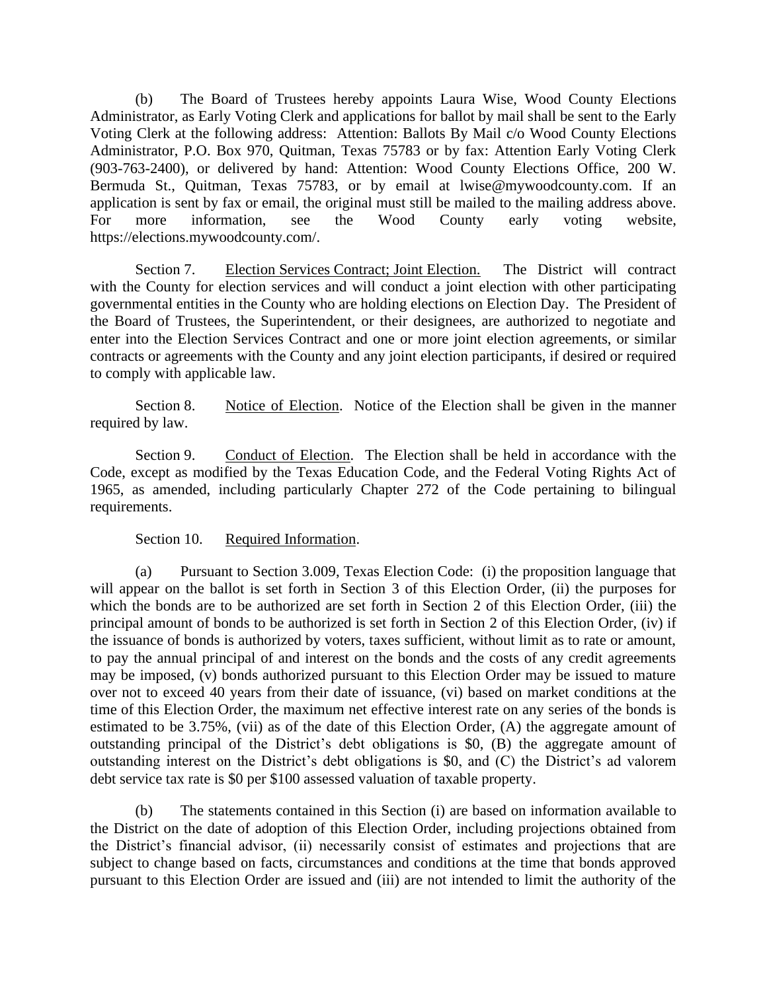(b) The Board of Trustees hereby appoints Laura Wise, Wood County Elections Administrator, as Early Voting Clerk and applications for ballot by mail shall be sent to the Early Voting Clerk at the following address: Attention: Ballots By Mail c/o Wood County Elections Administrator, P.O. Box 970, Quitman, Texas 75783 or by fax: Attention Early Voting Clerk (903-763-2400), or delivered by hand: Attention: Wood County Elections Office, 200 W. Bermuda St., Quitman, Texas 75783, or by email at lwise@mywoodcounty.com. If an application is sent by fax or email, the original must still be mailed to the mailing address above. For more information, see the Wood County early voting website, https://elections.mywoodcounty.com/.

Section 7. Election Services Contract; Joint Election. The District will contract with the County for election services and will conduct a joint election with other participating governmental entities in the County who are holding elections on Election Day. The President of the Board of Trustees, the Superintendent, or their designees, are authorized to negotiate and enter into the Election Services Contract and one or more joint election agreements, or similar contracts or agreements with the County and any joint election participants, if desired or required to comply with applicable law.

Section 8. Notice of Election. Notice of the Election shall be given in the manner required by law.

Section 9. Conduct of Election. The Election shall be held in accordance with the Code, except as modified by the Texas Education Code, and the Federal Voting Rights Act of 1965, as amended, including particularly Chapter 272 of the Code pertaining to bilingual requirements.

### Section 10. Required Information.

(a) Pursuant to Section 3.009, Texas Election Code: (i) the proposition language that will appear on the ballot is set forth in Section 3 of this Election Order, (ii) the purposes for which the bonds are to be authorized are set forth in Section 2 of this Election Order, (iii) the principal amount of bonds to be authorized is set forth in Section 2 of this Election Order, (iv) if the issuance of bonds is authorized by voters, taxes sufficient, without limit as to rate or amount, to pay the annual principal of and interest on the bonds and the costs of any credit agreements may be imposed, (v) bonds authorized pursuant to this Election Order may be issued to mature over not to exceed 40 years from their date of issuance, (vi) based on market conditions at the time of this Election Order, the maximum net effective interest rate on any series of the bonds is estimated to be 3.75%, (vii) as of the date of this Election Order, (A) the aggregate amount of outstanding principal of the District's debt obligations is \$0, (B) the aggregate amount of outstanding interest on the District's debt obligations is \$0, and (C) the District's ad valorem debt service tax rate is \$0 per \$100 assessed valuation of taxable property.

(b) The statements contained in this Section (i) are based on information available to the District on the date of adoption of this Election Order, including projections obtained from the District's financial advisor, (ii) necessarily consist of estimates and projections that are subject to change based on facts, circumstances and conditions at the time that bonds approved pursuant to this Election Order are issued and (iii) are not intended to limit the authority of the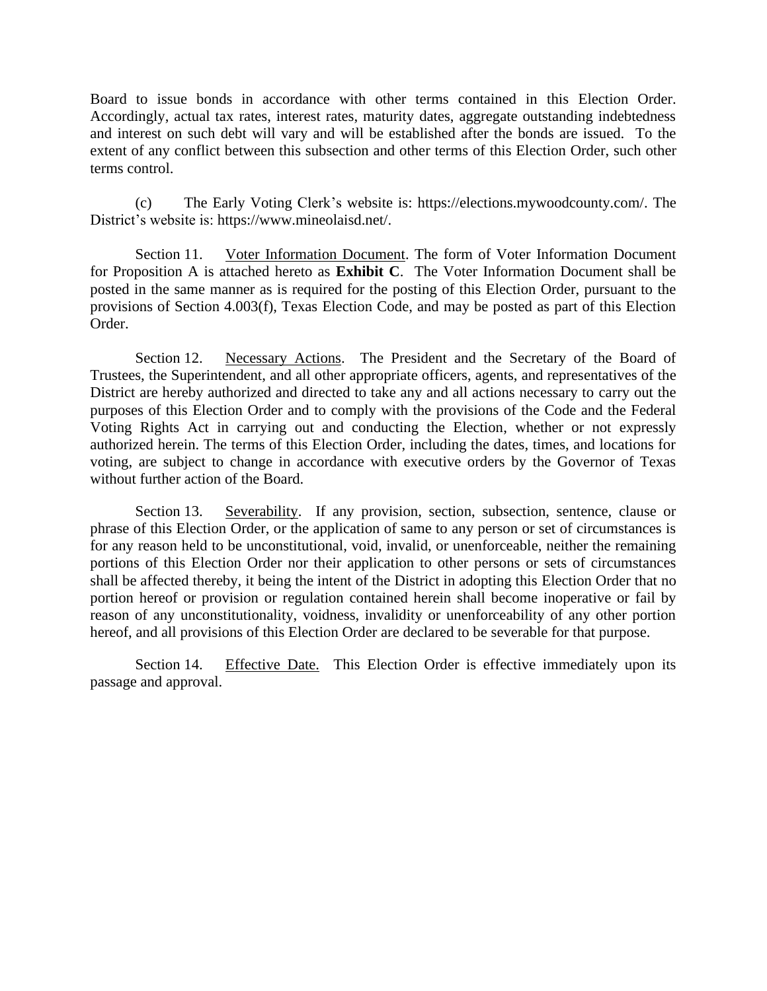Board to issue bonds in accordance with other terms contained in this Election Order. Accordingly, actual tax rates, interest rates, maturity dates, aggregate outstanding indebtedness and interest on such debt will vary and will be established after the bonds are issued. To the extent of any conflict between this subsection and other terms of this Election Order, such other terms control.

(c) The Early Voting Clerk's website is: https://elections.mywoodcounty.com/. The District's website is: https://www.mineolaisd.net/.

Section 11. Voter Information Document. The form of Voter Information Document for Proposition A is attached hereto as **Exhibit C**. The Voter Information Document shall be posted in the same manner as is required for the posting of this Election Order, pursuant to the provisions of Section 4.003(f), Texas Election Code, and may be posted as part of this Election Order.

Section 12. Necessary Actions. The President and the Secretary of the Board of Trustees, the Superintendent, and all other appropriate officers, agents, and representatives of the District are hereby authorized and directed to take any and all actions necessary to carry out the purposes of this Election Order and to comply with the provisions of the Code and the Federal Voting Rights Act in carrying out and conducting the Election, whether or not expressly authorized herein. The terms of this Election Order, including the dates, times, and locations for voting, are subject to change in accordance with executive orders by the Governor of Texas without further action of the Board.

Section 13. Severability. If any provision, section, subsection, sentence, clause or phrase of this Election Order, or the application of same to any person or set of circumstances is for any reason held to be unconstitutional, void, invalid, or unenforceable, neither the remaining portions of this Election Order nor their application to other persons or sets of circumstances shall be affected thereby, it being the intent of the District in adopting this Election Order that no portion hereof or provision or regulation contained herein shall become inoperative or fail by reason of any unconstitutionality, voidness, invalidity or unenforceability of any other portion hereof, and all provisions of this Election Order are declared to be severable for that purpose.

Section 14. Effective Date. This Election Order is effective immediately upon its passage and approval.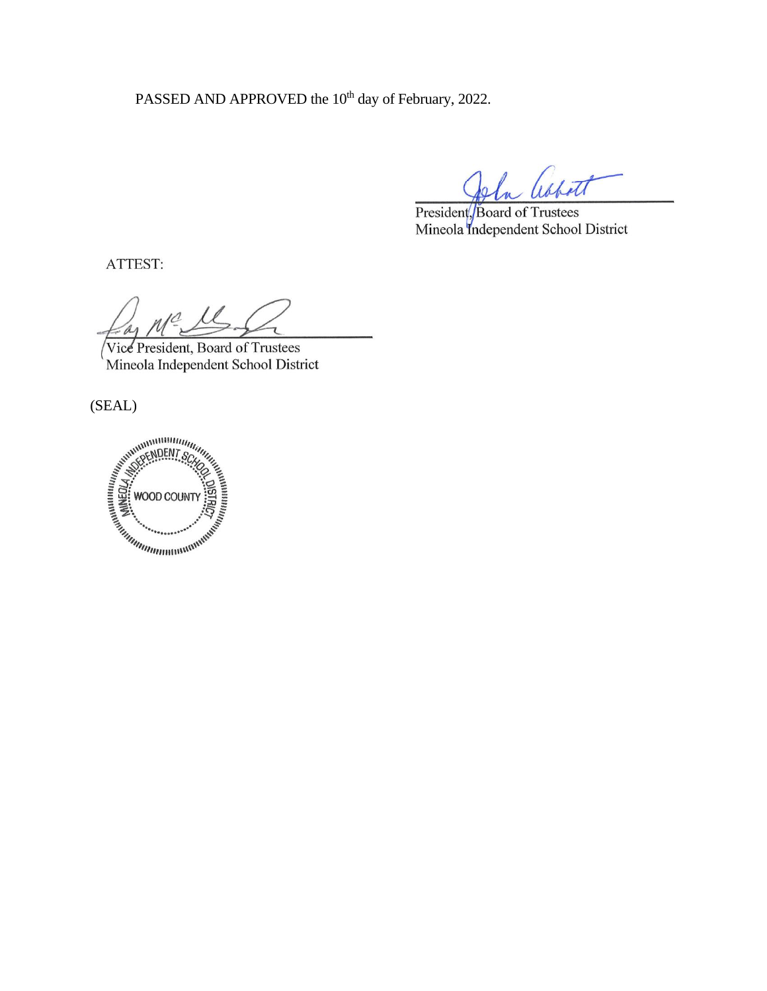PASSED AND APPROVED the 10<sup>th</sup> day of February, 2022.

President, Board of Trustees Mineola Independent School District

ATTEST:

Vice President, Board of Trustees Mineola Independent School District

(SEAL)

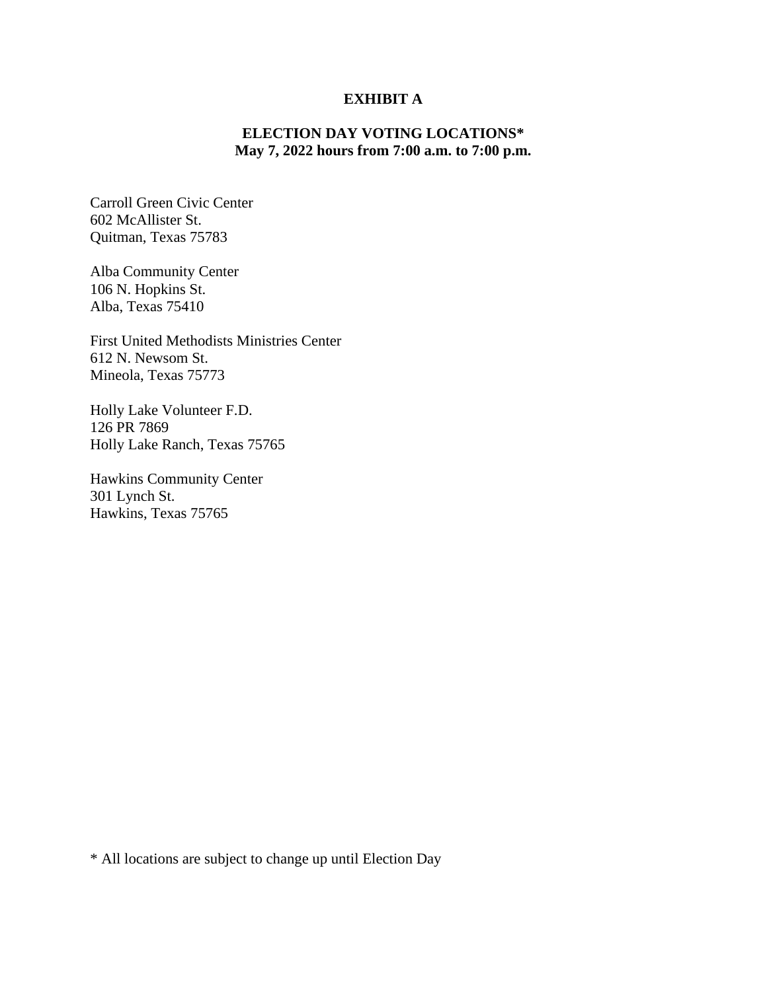## **EXHIBIT A**

## **ELECTION DAY VOTING LOCATIONS\* May 7, 2022 hours from 7:00 a.m. to 7:00 p.m.**

Carroll Green Civic Center 602 McAllister St. Quitman, Texas 75783

Alba Community Center 106 N. Hopkins St. Alba, Texas 75410

First United Methodists Ministries Center 612 N. Newsom St. Mineola, Texas 75773

Holly Lake Volunteer F.D. 126 PR 7869 Holly Lake Ranch, Texas 75765

Hawkins Community Center 301 Lynch St. Hawkins, Texas 75765

\* All locations are subject to change up until Election Day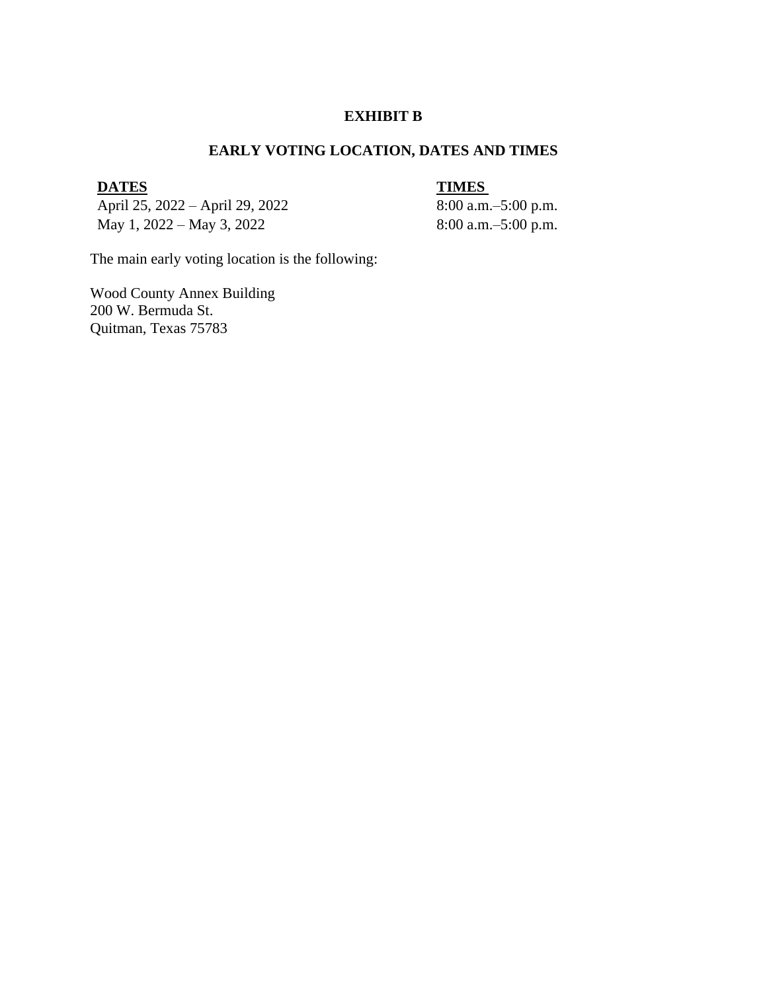#### **EXHIBIT B**

## **EARLY VOTING LOCATION, DATES AND TIMES**

# **DATES** TIMES

April 25, 2022 – April 29, 2022 8:00 a.m. – 5:00 p.m. May 1, 2022 – May 3, 2022 8:00 a.m. –5:00 p.m.

The main early voting location is the following:

Wood County Annex Building 200 W. Bermuda St. Quitman, Texas 75783